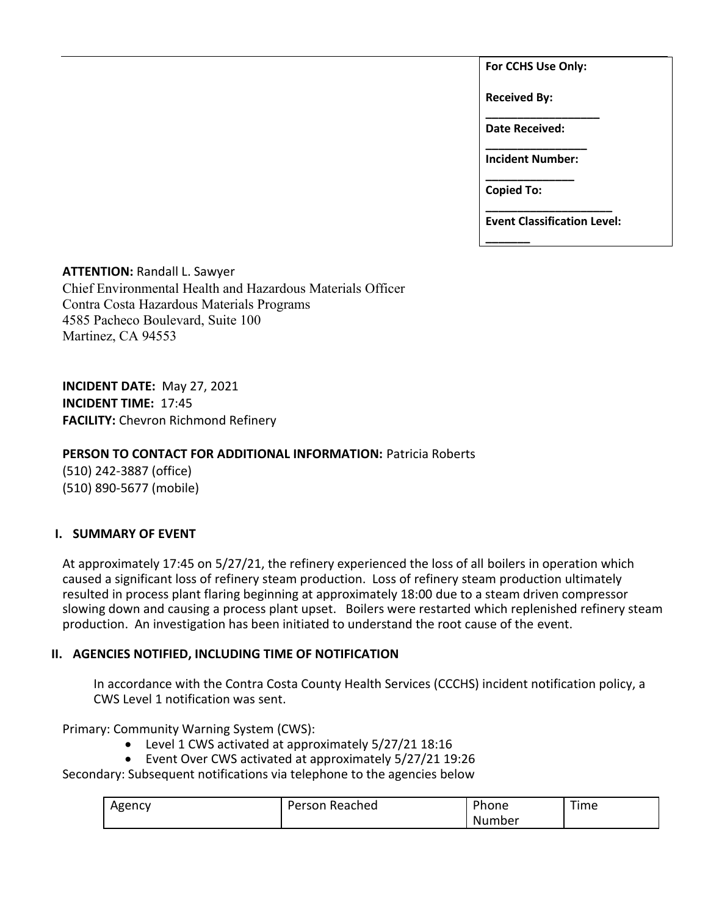**For CCHS Use Only:**

**Received By:** 

**\_\_\_\_\_\_\_\_\_\_\_\_\_\_\_\_\_\_ Date Received:** 

**\_\_\_\_\_\_\_\_\_\_\_\_\_\_\_\_ Incident Number: \_\_\_\_\_\_\_\_\_\_\_\_\_\_**

**Copied To:** 

**\_\_\_\_\_\_\_**

**\_\_\_\_\_\_\_\_\_\_\_\_\_\_\_\_\_\_\_\_ Event Classification Level:** 

**ATTENTION:** Randall L. Sawyer Chief Environmental Health and Hazardous Materials Officer Contra Costa Hazardous Materials Programs 4585 Pacheco Boulevard, Suite 100 Martinez, CA 94553

**INCIDENT DATE:** May 27, 2021 **INCIDENT TIME:** 17:45 **FACILITY:** Chevron Richmond Refinery

# **PERSON TO CONTACT FOR ADDITIONAL INFORMATION:** Patricia Roberts

(510) 242-3887 (office) (510) 890-5677 (mobile)

## **I. SUMMARY OF EVENT**

At approximately 17:45 on 5/27/21, the refinery experienced the loss of all boilers in operation which caused a significant loss of refinery steam production. Loss of refinery steam production ultimately resulted in process plant flaring beginning at approximately 18:00 due to a steam driven compressor slowing down and causing a process plant upset. Boilers were restarted which replenished refinery steam production. An investigation has been initiated to understand the root cause of the event.

## **II. AGENCIES NOTIFIED, INCLUDING TIME OF NOTIFICATION**

In accordance with the Contra Costa County Health Services (CCCHS) incident notification policy, a CWS Level 1 notification was sent.

Primary: Community Warning System (CWS):

- Level 1 CWS activated at approximately 5/27/21 18:16
- Event Over CWS activated at approximately 5/27/21 19:26

Secondary: Subsequent notifications via telephone to the agencies below

| Agency | Reached<br>Person | Phone  | $- -$<br>Fime |
|--------|-------------------|--------|---------------|
|        |                   | Number |               |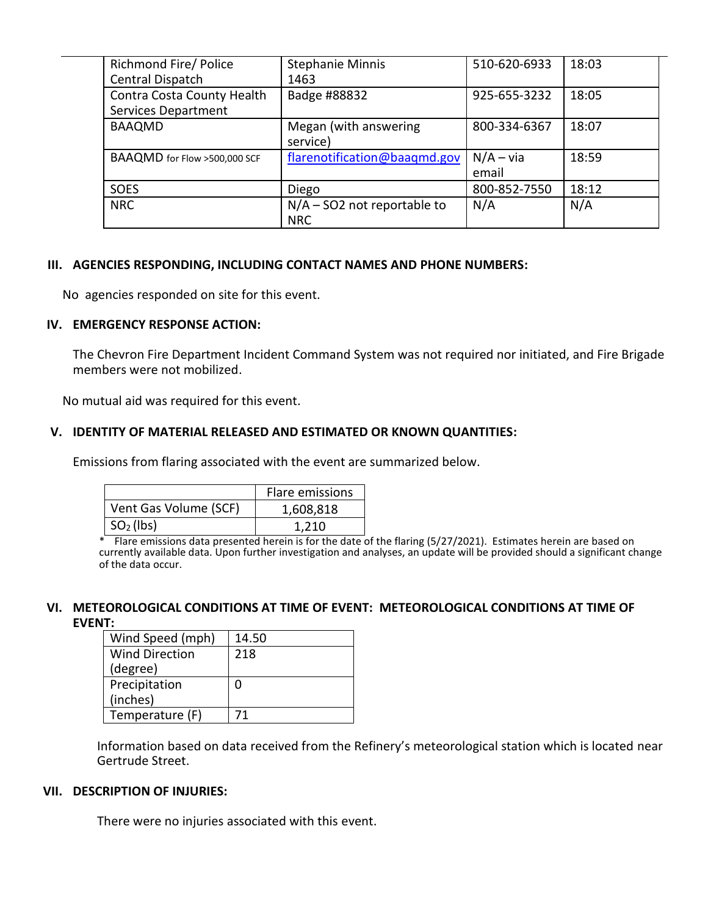| Richmond Fire/ Police<br>Central Dispatch                | <b>Stephanie Minnis</b><br>1463             | 510-620-6933         | 18:03 |
|----------------------------------------------------------|---------------------------------------------|----------------------|-------|
| Contra Costa County Health<br><b>Services Department</b> | Badge #88832                                | 925-655-3232         | 18:05 |
| <b>BAAQMD</b>                                            | Megan (with answering<br>service)           | 800-334-6367         | 18:07 |
| BAAQMD for Flow >500,000 SCF                             | flarenotification@baaqmd.gov                | $N/A - via$<br>email | 18:59 |
| <b>SOES</b>                                              | Diego                                       | 800-852-7550         | 18:12 |
| <b>NRC</b>                                               | $N/A - SO2$ not reportable to<br><b>NRC</b> | N/A                  | N/A   |

## **III. AGENCIES RESPONDING, INCLUDING CONTACT NAMES AND PHONE NUMBERS:**

No agencies responded on site for this event.

#### **IV. EMERGENCY RESPONSE ACTION:**

The Chevron Fire Department Incident Command System was not required nor initiated, and Fire Brigade members were not mobilized.

No mutual aid was required for this event.

### **V. IDENTITY OF MATERIAL RELEASED AND ESTIMATED OR KNOWN QUANTITIES:**

Emissions from flaring associated with the event are summarized below.

|                       | Flare emissions |
|-----------------------|-----------------|
| Vent Gas Volume (SCF) | 1,608,818       |
| $\mid SO2(\vert bs)$  | 1.210           |

\* Flare emissions data presented herein is for the date of the flaring (5/27/2021). Estimates herein are based on currently available data. Upon further investigation and analyses, an update will be provided should a significant change of the data occur.

### **VI. METEOROLOGICAL CONDITIONS AT TIME OF EVENT: METEOROLOGICAL CONDITIONS AT TIME OF EVENT:**

| Wind Speed (mph) | 14.50 |
|------------------|-------|
| Wind Direction   | 218   |
| (degree)         |       |
| Precipitation    | ი     |
| (inches)         |       |
| Temperature (F)  | 71    |

Information based on data received from the Refinery's meteorological station which is located near Gertrude Street.

#### **VII. DESCRIPTION OF INJURIES:**

There were no injuries associated with this event.